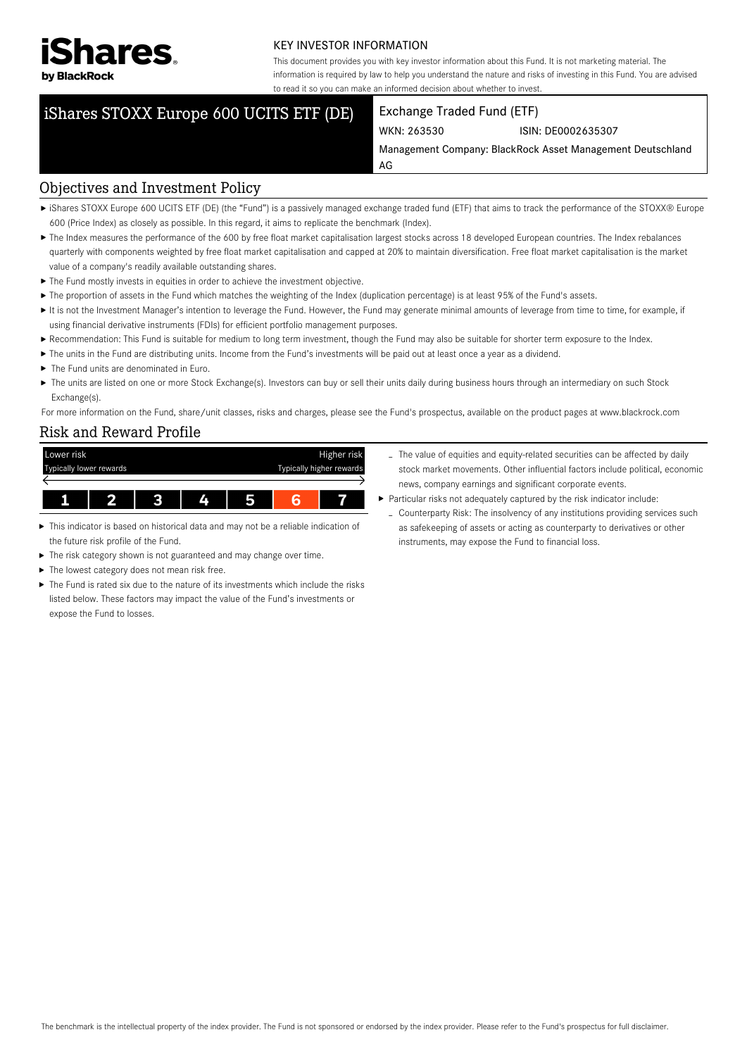

#### KEY INVESTOR INFORMATION

This document provides you with key investor information about this Fund. It is not marketing material. The information is required by law to help you understand the nature and risks of investing in this Fund. You are advised to read it so you can make an informed decision about whether to invest.

# iShares STOXX Europe 600 UCITS ETF (DE) Exchange Traded Fund (ETF)

WKN: 263530 ISIN: DE0002635307

Management Company: BlackRock Asset Management Deutschland AG

### Objectives and Investment Policy

- ► iShares STOXX Europe 600 UCITS ETF (DE) (the "Fund") is a passively managed exchange traded fund (ETF) that aims to track the performance of the STOXX® Europe 600 (Price Index) as closely as possible. In this regard, it aims to replicate the benchmark (Index).
- The Index measures the performance of the 600 by free float market capitalisation largest stocks across 18 developed European countries. The Index rebalances quarterly with components weighted by free float market capitalisation and capped at 20% to maintain diversification. Free float market capitalisation is the market value of a company's readily available outstanding shares.
- $\blacktriangleright$  The Fund mostly invests in equities in order to achieve the investment objective.
- ▶ The proportion of assets in the Fund which matches the weighting of the Index (duplication percentage) is at least 95% of the Fund's assets.
- It is not the Investment Manager's intention to leverage the Fund. However, the Fund may generate minimal amounts of leverage from time to time, for example, if using financial derivative instruments (FDIs) for efficient portfolio management purposes.
- Recommendation: This Fund is suitable for medium to long term investment, though the Fund may also be suitable for shorter term exposure to the Index.
- ▶ The units in the Fund are distributing units. Income from the Fund's investments will be paid out at least once a year as a dividend.
- ▶ The Fund units are denominated in Furo.
- The units are listed on one or more Stock Exchange(s). Investors can buy or sell their units daily during business hours through an intermediary on such Stock Exchange(s).

For more information on the Fund, share/unit classes, risks and charges, please see the Fund's prospectus, available on the product pages at www.blackrock.com

### Risk and Reward Profile

| Lower risk              |              |  |   |                          |  | Higher risk |
|-------------------------|--------------|--|---|--------------------------|--|-------------|
| Typically lower rewards |              |  |   | Typically higher rewards |  |             |
|                         |              |  |   |                          |  |             |
|                         | $\mathbf{z}$ |  | 4 | 5                        |  |             |

- This indicator is based on historical data and may not be a reliable indication of the future risk profile of the Fund.
- The risk category shown is not guaranteed and may change over time.
- The lowest category does not mean risk free.
- ▶ The Fund is rated six due to the nature of its investments which include the risks listed below. These factors may impact the value of the Fund's investments or expose the Fund to losses.
- Particular risks not adequately captured by the risk indicator include: - Counterparty Risk: The insolvency of any institutions providing services such as safekeeping of assets or acting as counterparty to derivatives or other instruments, may expose the Fund to financial loss.

news, company earnings and significant corporate events.

- The value of equities and equity-related securities can be affected by daily stock market movements. Other influential factors include political, economic